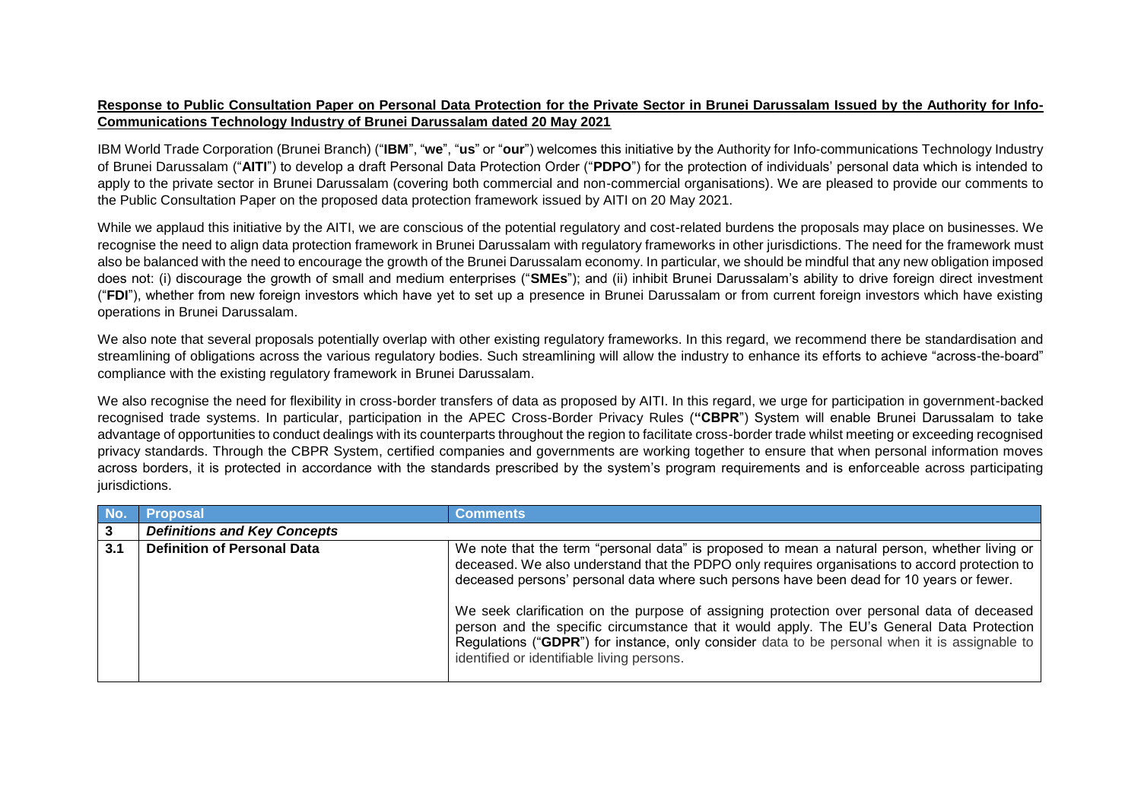## **Response to Public Consultation Paper on Personal Data Protection for the Private Sector in Brunei Darussalam Issued by the Authority for Info-Communications Technology Industry of Brunei Darussalam dated 20 May 2021**

IBM World Trade Corporation (Brunei Branch) ("**IBM**", "**we**", "**us**" or "**our**") welcomes this initiative by the Authority for Info-communications Technology Industry of Brunei Darussalam ("**AITI**") to develop a draft Personal Data Protection Order ("**PDPO**") for the protection of individuals' personal data which is intended to apply to the private sector in Brunei Darussalam (covering both commercial and non-commercial organisations). We are pleased to provide our comments to the Public Consultation Paper on the proposed data protection framework issued by AITI on 20 May 2021.

While we applaud this initiative by the AITI, we are conscious of the potential regulatory and cost-related burdens the proposals may place on businesses. We recognise the need to align data protection framework in Brunei Darussalam with regulatory frameworks in other jurisdictions. The need for the framework must also be balanced with the need to encourage the growth of the Brunei Darussalam economy. In particular, we should be mindful that any new obligation imposed does not: (i) discourage the growth of small and medium enterprises ("**SMEs**"); and (ii) inhibit Brunei Darussalam's ability to drive foreign direct investment ("**FDI**"), whether from new foreign investors which have yet to set up a presence in Brunei Darussalam or from current foreign investors which have existing operations in Brunei Darussalam.

We also note that several proposals potentially overlap with other existing regulatory frameworks. In this regard, we recommend there be standardisation and streamlining of obligations across the various regulatory bodies. Such streamlining will allow the industry to enhance its efforts to achieve "across-the-board" compliance with the existing regulatory framework in Brunei Darussalam.

We also recognise the need for flexibility in cross-border transfers of data as proposed by AITI. In this regard, we urge for participation in government-backed recognised trade systems. In particular, participation in the APEC Cross-Border Privacy Rules (**"CBPR**") System will enable Brunei Darussalam to take advantage of opportunities to conduct dealings with its counterparts throughout the region to facilitate cross-border trade whilst meeting or exceeding recognised privacy standards. Through the CBPR System, certified companies and governments are working together to ensure that when personal information moves across borders, it is protected in accordance with the standards prescribed by the system's program requirements and is enforceable across participating jurisdictions.

|     | <b>Proposal</b>                     | <b>Comments</b>                                                                                                                                                                                                                                                                                                                          |
|-----|-------------------------------------|------------------------------------------------------------------------------------------------------------------------------------------------------------------------------------------------------------------------------------------------------------------------------------------------------------------------------------------|
|     | <b>Definitions and Key Concepts</b> |                                                                                                                                                                                                                                                                                                                                          |
| 3.1 | <b>Definition of Personal Data</b>  | We note that the term "personal data" is proposed to mean a natural person, whether living or<br>deceased. We also understand that the PDPO only requires organisations to accord protection to<br>deceased persons' personal data where such persons have been dead for 10 years or fewer.                                              |
|     |                                     | We seek clarification on the purpose of assigning protection over personal data of deceased<br>person and the specific circumstance that it would apply. The EU's General Data Protection<br>Regulations ("GDPR") for instance, only consider data to be personal when it is assignable to<br>identified or identifiable living persons. |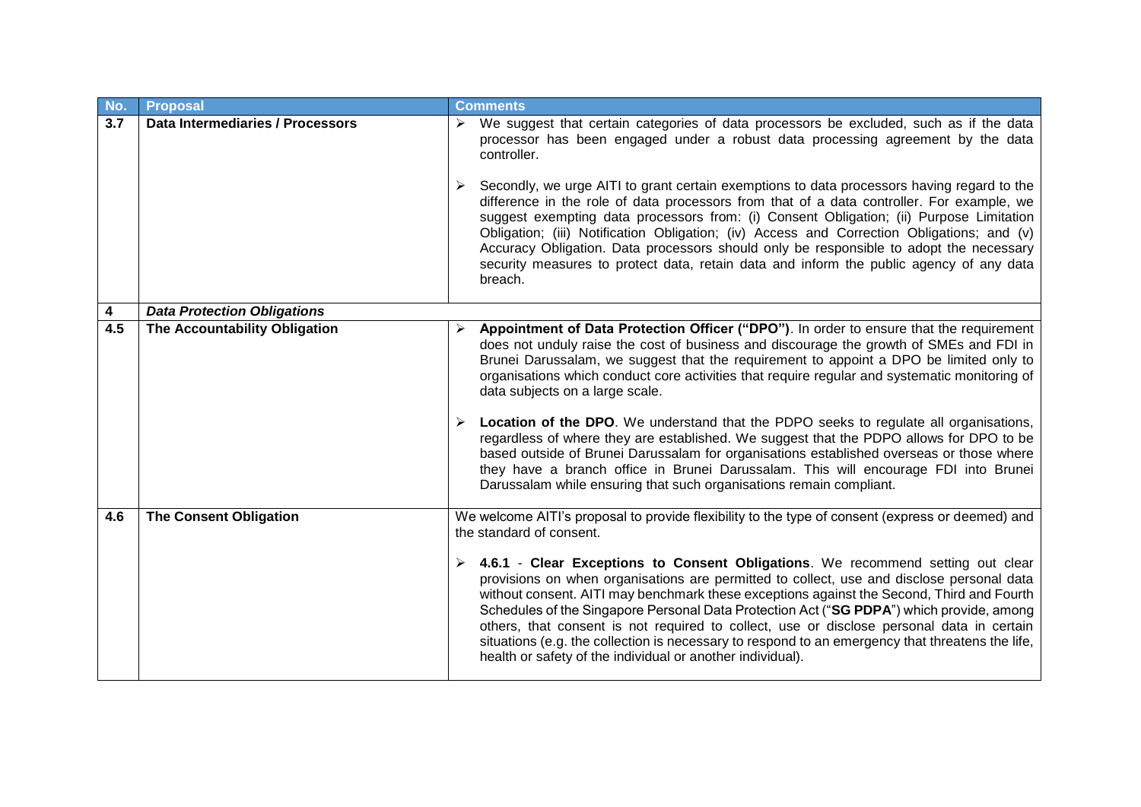| No. | <b>Proposal</b>                    | <b>Comments</b>                                                                                                                                                                                                                                                                                                                                                                                                                                                                                                                                                                                                                                                                                                                                                                                                                                                       |
|-----|------------------------------------|-----------------------------------------------------------------------------------------------------------------------------------------------------------------------------------------------------------------------------------------------------------------------------------------------------------------------------------------------------------------------------------------------------------------------------------------------------------------------------------------------------------------------------------------------------------------------------------------------------------------------------------------------------------------------------------------------------------------------------------------------------------------------------------------------------------------------------------------------------------------------|
| 3.7 | Data Intermediaries / Processors   | $\triangleright$ We suggest that certain categories of data processors be excluded, such as if the data<br>processor has been engaged under a robust data processing agreement by the data<br>controller.                                                                                                                                                                                                                                                                                                                                                                                                                                                                                                                                                                                                                                                             |
|     |                                    | Secondly, we urge AITI to grant certain exemptions to data processors having regard to the<br>difference in the role of data processors from that of a data controller. For example, we<br>suggest exempting data processors from: (i) Consent Obligation; (ii) Purpose Limitation<br>Obligation; (iii) Notification Obligation; (iv) Access and Correction Obligations; and (v)<br>Accuracy Obligation. Data processors should only be responsible to adopt the necessary<br>security measures to protect data, retain data and inform the public agency of any data<br>breach.                                                                                                                                                                                                                                                                                      |
| 4   | <b>Data Protection Obligations</b> |                                                                                                                                                                                                                                                                                                                                                                                                                                                                                                                                                                                                                                                                                                                                                                                                                                                                       |
| 4.5 | The Accountability Obligation      | Appointment of Data Protection Officer ("DPO"). In order to ensure that the requirement<br>does not unduly raise the cost of business and discourage the growth of SMEs and FDI in<br>Brunei Darussalam, we suggest that the requirement to appoint a DPO be limited only to<br>organisations which conduct core activities that require regular and systematic monitoring of<br>data subjects on a large scale.<br><b>Location of the DPO.</b> We understand that the PDPO seeks to regulate all organisations,<br>regardless of where they are established. We suggest that the PDPO allows for DPO to be<br>based outside of Brunei Darussalam for organisations established overseas or those where<br>they have a branch office in Brunei Darussalam. This will encourage FDI into Brunei<br>Darussalam while ensuring that such organisations remain compliant. |
| 4.6 | <b>The Consent Obligation</b>      | We welcome AITI's proposal to provide flexibility to the type of consent (express or deemed) and<br>the standard of consent.<br>$\triangleright$ 4.6.1 - Clear Exceptions to Consent Obligations. We recommend setting out clear<br>provisions on when organisations are permitted to collect, use and disclose personal data<br>without consent. AITI may benchmark these exceptions against the Second, Third and Fourth<br>Schedules of the Singapore Personal Data Protection Act ("SG PDPA") which provide, among<br>others, that consent is not required to collect, use or disclose personal data in certain<br>situations (e.g. the collection is necessary to respond to an emergency that threatens the life,<br>health or safety of the individual or another individual).                                                                                 |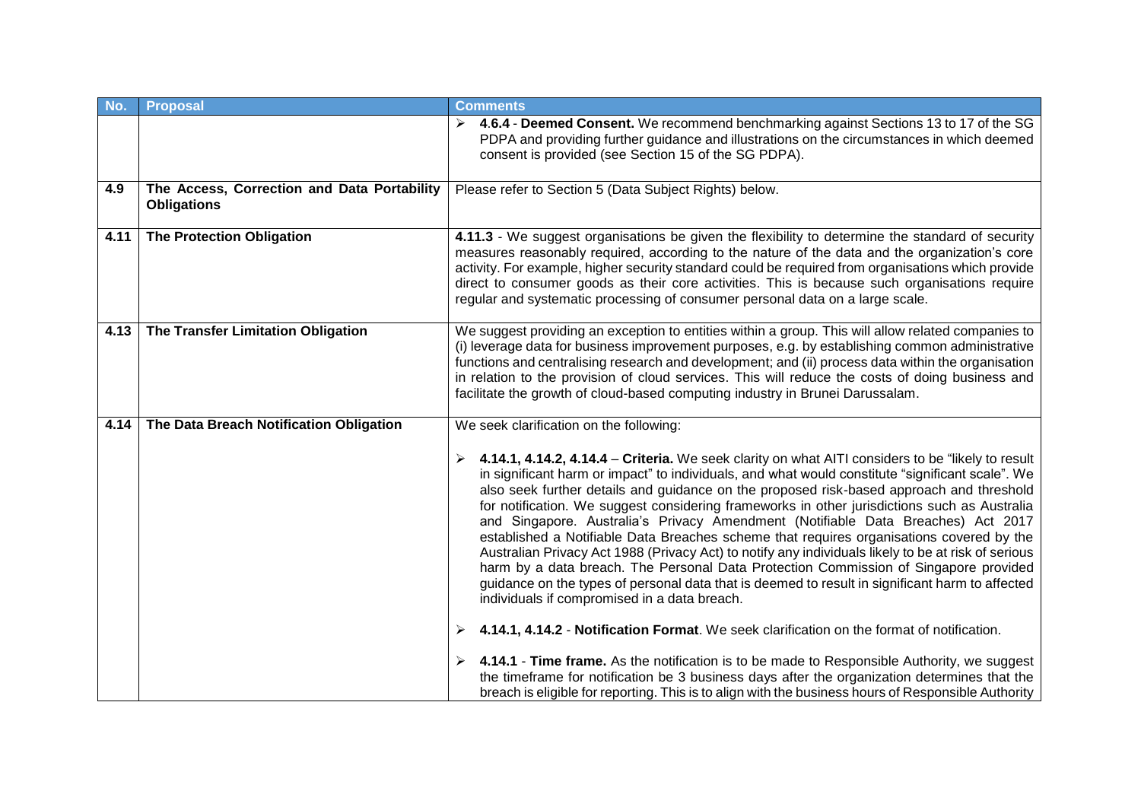| No.  | <b>Proposal</b>                                                   | <b>Comments</b>                                                                                                                                                                                                                                                                                                                                                                                                                                                                                                                                                                                                                                                                                                                                                                                                                                                                                                                                      |
|------|-------------------------------------------------------------------|------------------------------------------------------------------------------------------------------------------------------------------------------------------------------------------------------------------------------------------------------------------------------------------------------------------------------------------------------------------------------------------------------------------------------------------------------------------------------------------------------------------------------------------------------------------------------------------------------------------------------------------------------------------------------------------------------------------------------------------------------------------------------------------------------------------------------------------------------------------------------------------------------------------------------------------------------|
|      |                                                                   | 4.6.4 - Deemed Consent. We recommend benchmarking against Sections 13 to 17 of the SG<br>PDPA and providing further guidance and illustrations on the circumstances in which deemed<br>consent is provided (see Section 15 of the SG PDPA).                                                                                                                                                                                                                                                                                                                                                                                                                                                                                                                                                                                                                                                                                                          |
| 4.9  | The Access, Correction and Data Portability<br><b>Obligations</b> | Please refer to Section 5 (Data Subject Rights) below.                                                                                                                                                                                                                                                                                                                                                                                                                                                                                                                                                                                                                                                                                                                                                                                                                                                                                               |
| 4.11 | <b>The Protection Obligation</b>                                  | 4.11.3 - We suggest organisations be given the flexibility to determine the standard of security<br>measures reasonably required, according to the nature of the data and the organization's core<br>activity. For example, higher security standard could be required from organisations which provide<br>direct to consumer goods as their core activities. This is because such organisations require<br>regular and systematic processing of consumer personal data on a large scale.                                                                                                                                                                                                                                                                                                                                                                                                                                                            |
| 4.13 | The Transfer Limitation Obligation                                | We suggest providing an exception to entities within a group. This will allow related companies to<br>(i) leverage data for business improvement purposes, e.g. by establishing common administrative<br>functions and centralising research and development; and (ii) process data within the organisation<br>in relation to the provision of cloud services. This will reduce the costs of doing business and<br>facilitate the growth of cloud-based computing industry in Brunei Darussalam.                                                                                                                                                                                                                                                                                                                                                                                                                                                     |
| 4.14 | The Data Breach Notification Obligation                           | We seek clarification on the following:                                                                                                                                                                                                                                                                                                                                                                                                                                                                                                                                                                                                                                                                                                                                                                                                                                                                                                              |
|      |                                                                   | $\triangleright$ 4.14.1, 4.14.2, 4.14.4 – Criteria. We seek clarity on what AITI considers to be "likely to result<br>in significant harm or impact" to individuals, and what would constitute "significant scale". We<br>also seek further details and guidance on the proposed risk-based approach and threshold<br>for notification. We suggest considering frameworks in other jurisdictions such as Australia<br>and Singapore. Australia's Privacy Amendment (Notifiable Data Breaches) Act 2017<br>established a Notifiable Data Breaches scheme that requires organisations covered by the<br>Australian Privacy Act 1988 (Privacy Act) to notify any individuals likely to be at risk of serious<br>harm by a data breach. The Personal Data Protection Commission of Singapore provided<br>guidance on the types of personal data that is deemed to result in significant harm to affected<br>individuals if compromised in a data breach. |
|      |                                                                   | 4.14.1, 4.14.2 - Notification Format. We seek clarification on the format of notification.<br>➤                                                                                                                                                                                                                                                                                                                                                                                                                                                                                                                                                                                                                                                                                                                                                                                                                                                      |
|      |                                                                   | 4.14.1 - Time frame. As the notification is to be made to Responsible Authority, we suggest<br>the timeframe for notification be 3 business days after the organization determines that the<br>breach is eligible for reporting. This is to align with the business hours of Responsible Authority                                                                                                                                                                                                                                                                                                                                                                                                                                                                                                                                                                                                                                                   |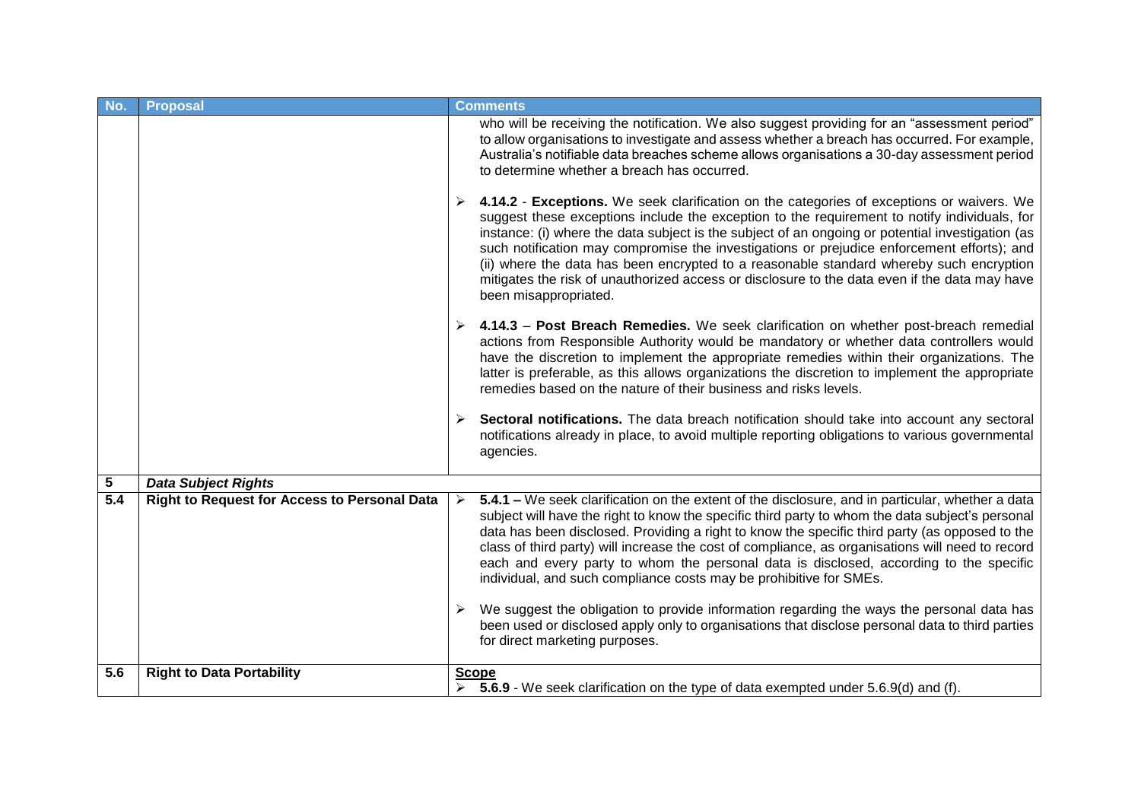| No.              | <b>Proposal</b>                              | <b>Comments</b>                                                                                                                                                                                                                                                                                                                                                                                                                                                                                                                                                                                                       |
|------------------|----------------------------------------------|-----------------------------------------------------------------------------------------------------------------------------------------------------------------------------------------------------------------------------------------------------------------------------------------------------------------------------------------------------------------------------------------------------------------------------------------------------------------------------------------------------------------------------------------------------------------------------------------------------------------------|
|                  |                                              | who will be receiving the notification. We also suggest providing for an "assessment period"<br>to allow organisations to investigate and assess whether a breach has occurred. For example,<br>Australia's notifiable data breaches scheme allows organisations a 30-day assessment period<br>to determine whether a breach has occurred.                                                                                                                                                                                                                                                                            |
|                  |                                              | 4.14.2 - Exceptions. We seek clarification on the categories of exceptions or waivers. We<br>➤<br>suggest these exceptions include the exception to the requirement to notify individuals, for<br>instance: (i) where the data subject is the subject of an ongoing or potential investigation (as<br>such notification may compromise the investigations or prejudice enforcement efforts); and<br>(ii) where the data has been encrypted to a reasonable standard whereby such encryption<br>mitigates the risk of unauthorized access or disclosure to the data even if the data may have<br>been misappropriated. |
|                  |                                              | 4.14.3 - Post Breach Remedies. We seek clarification on whether post-breach remedial<br>actions from Responsible Authority would be mandatory or whether data controllers would<br>have the discretion to implement the appropriate remedies within their organizations. The<br>latter is preferable, as this allows organizations the discretion to implement the appropriate<br>remedies based on the nature of their business and risks levels.                                                                                                                                                                    |
|                  |                                              | Sectoral notifications. The data breach notification should take into account any sectoral<br>➤<br>notifications already in place, to avoid multiple reporting obligations to various governmental<br>agencies.                                                                                                                                                                                                                                                                                                                                                                                                       |
| 5                | <b>Data Subject Rights</b>                   |                                                                                                                                                                                                                                                                                                                                                                                                                                                                                                                                                                                                                       |
| $\overline{5.4}$ | Right to Request for Access to Personal Data | 5.4.1 – We seek clarification on the extent of the disclosure, and in particular, whether a data<br>$\blacktriangleright$<br>subject will have the right to know the specific third party to whom the data subject's personal<br>data has been disclosed. Providing a right to know the specific third party (as opposed to the<br>class of third party) will increase the cost of compliance, as organisations will need to record<br>each and every party to whom the personal data is disclosed, according to the specific<br>individual, and such compliance costs may be prohibitive for SMEs.                   |
|                  |                                              | We suggest the obligation to provide information regarding the ways the personal data has<br>been used or disclosed apply only to organisations that disclose personal data to third parties<br>for direct marketing purposes.                                                                                                                                                                                                                                                                                                                                                                                        |
| 5.6              | <b>Right to Data Portability</b>             | <b>Scope</b><br>5.6.9 - We seek clarification on the type of data exempted under 5.6.9(d) and (f).                                                                                                                                                                                                                                                                                                                                                                                                                                                                                                                    |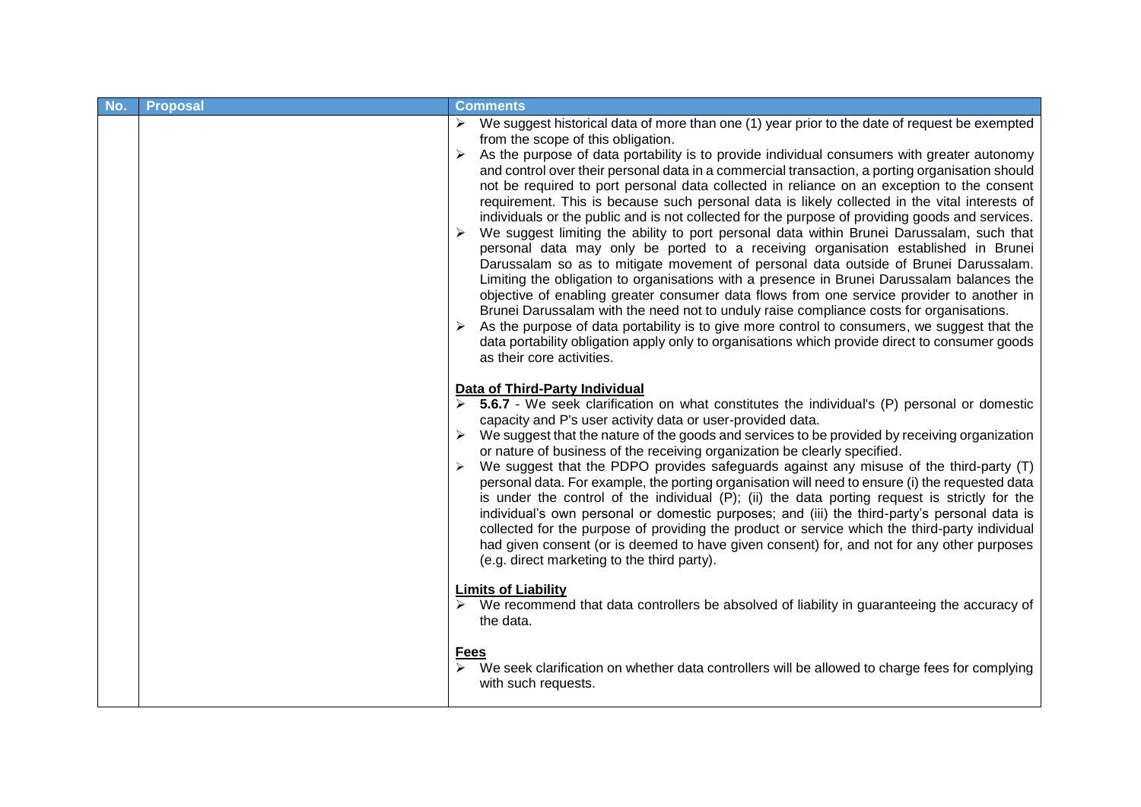| No. | <b>Proposal</b> | <b>Comments</b>                                                                                                                                                                                                                                                                                                                                                                                                                                                                                                                                                                                                                                                                                                                                                                                                                                                                                                                                                                                                                                                                                                                                                                                                                                                                                                                                                                                                                                               |
|-----|-----------------|---------------------------------------------------------------------------------------------------------------------------------------------------------------------------------------------------------------------------------------------------------------------------------------------------------------------------------------------------------------------------------------------------------------------------------------------------------------------------------------------------------------------------------------------------------------------------------------------------------------------------------------------------------------------------------------------------------------------------------------------------------------------------------------------------------------------------------------------------------------------------------------------------------------------------------------------------------------------------------------------------------------------------------------------------------------------------------------------------------------------------------------------------------------------------------------------------------------------------------------------------------------------------------------------------------------------------------------------------------------------------------------------------------------------------------------------------------------|
|     |                 | $\triangleright$ We suggest historical data of more than one (1) year prior to the date of request be exempted<br>from the scope of this obligation.<br>As the purpose of data portability is to provide individual consumers with greater autonomy<br>➤<br>and control over their personal data in a commercial transaction, a porting organisation should<br>not be required to port personal data collected in reliance on an exception to the consent<br>requirement. This is because such personal data is likely collected in the vital interests of<br>individuals or the public and is not collected for the purpose of providing goods and services.<br>We suggest limiting the ability to port personal data within Brunei Darussalam, such that<br>personal data may only be ported to a receiving organisation established in Brunei<br>Darussalam so as to mitigate movement of personal data outside of Brunei Darussalam.<br>Limiting the obligation to organisations with a presence in Brunei Darussalam balances the<br>objective of enabling greater consumer data flows from one service provider to another in<br>Brunei Darussalam with the need not to unduly raise compliance costs for organisations.<br>As the purpose of data portability is to give more control to consumers, we suggest that the<br>data portability obligation apply only to organisations which provide direct to consumer goods<br>as their core activities. |
|     |                 | <b>Data of Third-Party Individual</b><br>5.6.7 - We seek clarification on what constitutes the individual's (P) personal or domestic<br>capacity and P's user activity data or user-provided data.<br>We suggest that the nature of the goods and services to be provided by receiving organization<br>or nature of business of the receiving organization be clearly specified.<br>We suggest that the PDPO provides safeguards against any misuse of the third-party (T)<br>personal data. For example, the porting organisation will need to ensure (i) the requested data<br>is under the control of the individual $(P)$ ; (ii) the data porting request is strictly for the<br>individual's own personal or domestic purposes; and (iii) the third-party's personal data is<br>collected for the purpose of providing the product or service which the third-party individual<br>had given consent (or is deemed to have given consent) for, and not for any other purposes<br>(e.g. direct marketing to the third party).                                                                                                                                                                                                                                                                                                                                                                                                                              |
|     |                 | <b>Limits of Liability</b><br>$\triangleright$ We recommend that data controllers be absolved of liability in guaranteeing the accuracy of<br>the data.                                                                                                                                                                                                                                                                                                                                                                                                                                                                                                                                                                                                                                                                                                                                                                                                                                                                                                                                                                                                                                                                                                                                                                                                                                                                                                       |
|     |                 | <b>Fees</b><br>We seek clarification on whether data controllers will be allowed to charge fees for complying<br>with such requests.                                                                                                                                                                                                                                                                                                                                                                                                                                                                                                                                                                                                                                                                                                                                                                                                                                                                                                                                                                                                                                                                                                                                                                                                                                                                                                                          |